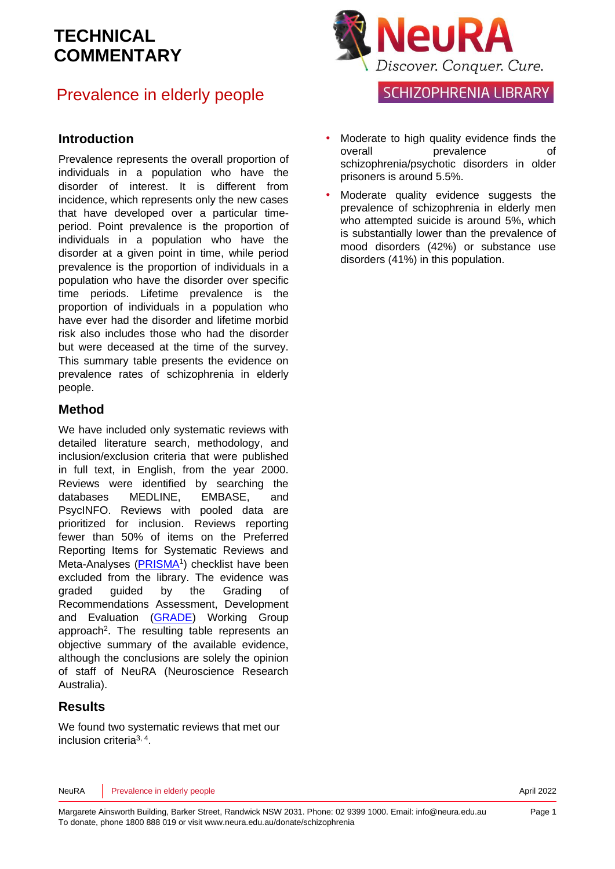### Prevalence in elderly people

#### **Introduction**

Prevalence represents the overall proportion of individuals in a population who have the disorder of interest. It is different from incidence, which represents only the new cases that have developed over a particular timeperiod. Point prevalence is the proportion of individuals in a population who have the disorder at a given point in time, while period prevalence is the proportion of individuals in a population who have the disorder over specific time periods. Lifetime prevalence is the proportion of individuals in a population who have ever had the disorder and lifetime morbid risk also includes those who had the disorder but were deceased at the time of the survey. This summary table presents the evidence on prevalence rates of schizophrenia in elderly people.

#### **Method**

We have included only systematic reviews with detailed literature search, methodology, and inclusion/exclusion criteria that were published in full text, in English, from the year 2000. Reviews were identified by searching the databases MEDLINE, EMBASE, and PsycINFO. Reviews with pooled data are prioritized for inclusion. Reviews reporting fewer than 50% of items on the Preferred Reporting Items for Systematic Reviews and Meta-Analyses [\(PRISMA](http://www.prisma-statement.org/)<sup>[1](#page-5-0)</sup>) checklist have been excluded from the library. The evidence was graded guided by the Grading of Recommendations Assessment, Development and Evaluation [\(GRADE\)](http://www.gradeworkinggroup.org/) Working Group approach<sup>2</sup>[.](#page-5-1) The resulting table represents an objective summary of the available evidence, although the conclusions are solely the opinion of staff of NeuRA (Neuroscience Research Australia).

#### **Results**

We found two systematic reviews that met our inclusion criteria[3,](#page-5-2) [4](#page-5-3) .



**SCHIZOPHRENIA LIBRARY** 

- Moderate to high quality evidence finds the overall **prevalence** of schizophrenia/psychotic disorders in older prisoners is around 5.5%.
- Moderate quality evidence suggests the prevalence of schizophrenia in elderly men who attempted suicide is around 5%, which is substantially lower than the prevalence of mood disorders (42%) or substance use disorders (41%) in this population.

NeuRA Prevalence in elderly people **April 2022**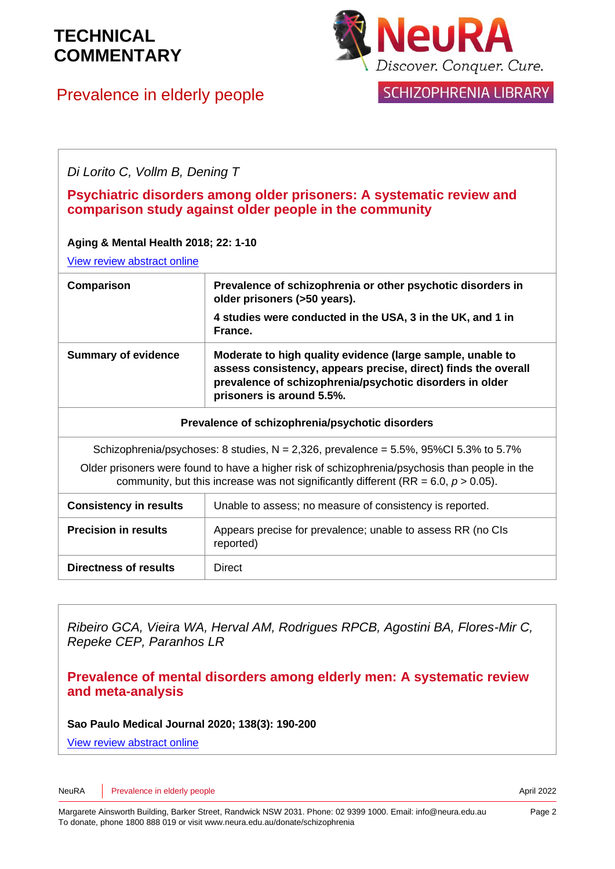## Prevalence in elderly people



SCHIZOPHRENIA LIBRARY

*Di Lorito C, Vollm B, Dening T*

#### **Psychiatric disorders among older prisoners: A systematic review and comparison study against older people in the community**

#### **Aging & Mental Health 2018; 22: 1-10**

[View review abstract online](https://www.ncbi.nlm.nih.gov/pubmed/28282734)

| Comparison                                                                                                                                                                              | Prevalence of schizophrenia or other psychotic disorders in<br>older prisoners (>50 years).<br>4 studies were conducted in the USA, 3 in the UK, and 1 in<br>France.                                                  |
|-----------------------------------------------------------------------------------------------------------------------------------------------------------------------------------------|-----------------------------------------------------------------------------------------------------------------------------------------------------------------------------------------------------------------------|
| <b>Summary of evidence</b>                                                                                                                                                              | Moderate to high quality evidence (large sample, unable to<br>assess consistency, appears precise, direct) finds the overall<br>prevalence of schizophrenia/psychotic disorders in older<br>prisoners is around 5.5%. |
| Prevalence of schizophrenia/psychotic disorders                                                                                                                                         |                                                                                                                                                                                                                       |
| Schizophrenia/psychoses: 8 studies, $N = 2,326$ , prevalence = 5.5%, 95%CI 5.3% to 5.7%                                                                                                 |                                                                                                                                                                                                                       |
| Older prisoners were found to have a higher risk of schizophrenia/psychosis than people in the<br>community, but this increase was not significantly different (RR = 6.0, $p > 0.05$ ). |                                                                                                                                                                                                                       |
| <b>Consistency in results</b>                                                                                                                                                           | Unable to assess; no measure of consistency is reported.                                                                                                                                                              |
| <b>Precision in results</b>                                                                                                                                                             | Appears precise for prevalence; unable to assess RR (no CIs<br>reported)                                                                                                                                              |
| <b>Directness of results</b>                                                                                                                                                            | <b>Direct</b>                                                                                                                                                                                                         |

*Ribeiro GCA, Vieira WA, Herval AM, Rodrigues RPCB, Agostini BA, Flores-Mir C, Repeke CEP, Paranhos LR*

**Prevalence of mental disorders among elderly men: A systematic review and meta-analysis**

**Sao Paulo Medical Journal 2020; 138(3): 190-200**

[View review abstract online](https://pubmed.ncbi.nlm.nih.gov/32491089/) 

NeuRA Prevalence in elderly people **April 2022**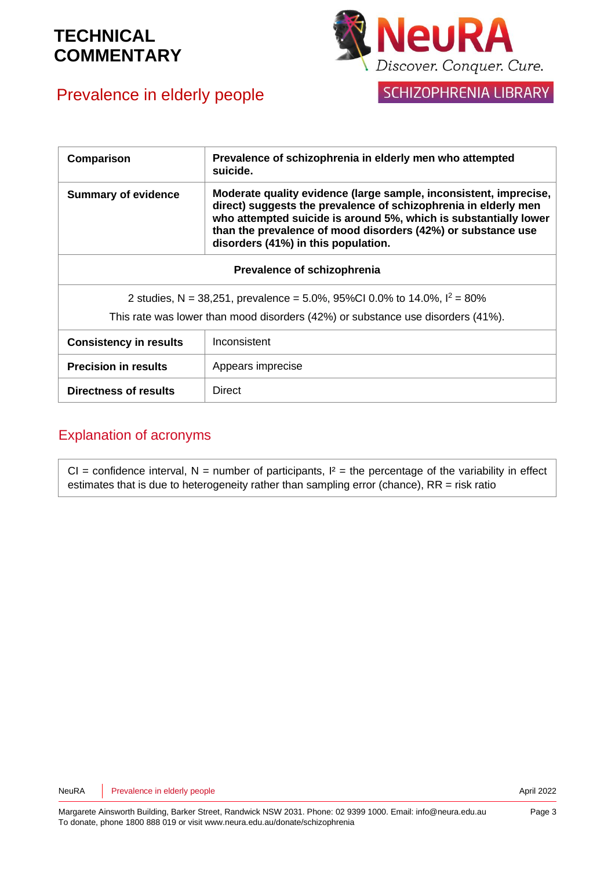## Prevalence in elderly people



SCHIZOPHRENIA LIBRARY

| Comparison                                                                      | Prevalence of schizophrenia in elderly men who attempted<br>suicide.                                                                                                                                                                                                                                            |  |
|---------------------------------------------------------------------------------|-----------------------------------------------------------------------------------------------------------------------------------------------------------------------------------------------------------------------------------------------------------------------------------------------------------------|--|
| <b>Summary of evidence</b>                                                      | Moderate quality evidence (large sample, inconsistent, imprecise,<br>direct) suggests the prevalence of schizophrenia in elderly men<br>who attempted suicide is around 5%, which is substantially lower<br>than the prevalence of mood disorders (42%) or substance use<br>disorders (41%) in this population. |  |
| Prevalence of schizophrenia                                                     |                                                                                                                                                                                                                                                                                                                 |  |
| 2 studies, N = 38,251, prevalence = 5.0%, 95%Cl 0.0% to 14.0%, $I^2 = 80\%$     |                                                                                                                                                                                                                                                                                                                 |  |
| This rate was lower than mood disorders (42%) or substance use disorders (41%). |                                                                                                                                                                                                                                                                                                                 |  |
| <b>Consistency in results</b>                                                   | Inconsistent                                                                                                                                                                                                                                                                                                    |  |
| <b>Precision in results</b>                                                     | Appears imprecise                                                                                                                                                                                                                                                                                               |  |
| Directness of results                                                           | <b>Direct</b>                                                                                                                                                                                                                                                                                                   |  |

### Explanation of acronyms

 $CI =$  confidence interval, N = number of participants,  $I^2 =$  the percentage of the variability in effect estimates that is due to heterogeneity rather than sampling error (chance), RR = risk ratio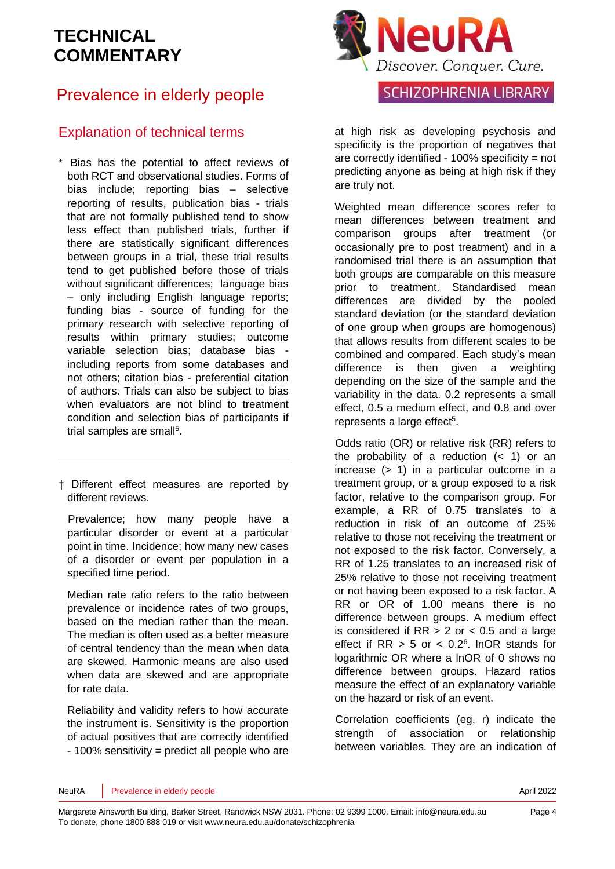### Prevalence in elderly people

### Explanation of technical terms

- \* Bias has the potential to affect reviews of both RCT and observational studies. Forms of bias include; reporting bias – selective reporting of results, publication bias - trials that are not formally published tend to show less effect than published trials, further if there are statistically significant differences between groups in a trial, these trial results tend to get published before those of trials without significant differences: language bias – only including English language reports; funding bias - source of funding for the primary research with selective reporting of results within primary studies; outcome variable selection bias; database bias including reports from some databases and not others; citation bias - preferential citation of authors. Trials can also be subject to bias when evaluators are not blind to treatment condition and selection bias of participants if trial samples are sma[ll](#page-5-4)<sup>5</sup>.
- † Different effect measures are reported by different reviews.

Prevalence; how many people have a particular disorder or event at a particular point in time. Incidence; how many new cases of a disorder or event per population in a specified time period.

Median rate ratio refers to the ratio between prevalence or incidence rates of two groups, based on the median rather than the mean. The median is often used as a better measure of central tendency than the mean when data are skewed. Harmonic means are also used when data are skewed and are appropriate for rate data.

Reliability and validity refers to how accurate the instrument is. Sensitivity is the proportion of actual positives that are correctly identified - 100% sensitivity = predict all people who are



at high risk as developing psychosis and specificity is the proportion of negatives that are correctly identified - 100% specificity = not predicting anyone as being at high risk if they are truly not.

Weighted mean difference scores refer to mean differences between treatment and comparison groups after treatment (or occasionally pre to post treatment) and in a randomised trial there is an assumption that both groups are comparable on this measure prior to treatment. Standardised mean differences are divided by the pooled standard deviation (or the standard deviation of one group when groups are homogenous) that allows results from different scales to be combined and compared. Each study's mean difference is then given a weighting depending on the size of the sample and the variability in the data. 0.2 represents a small effect, 0.5 a medium effect, and 0.8 and over represents a large effect<sup>[5](#page-5-4)</sup>.

Odds ratio (OR) or relative risk (RR) refers to the probability of a reduction  $($  1) or an increase (> 1) in a particular outcome in a treatment group, or a group exposed to a risk factor, relative to the comparison group. For example, a RR of 0.75 translates to a reduction in risk of an outcome of 25% relative to those not receiving the treatment or not exposed to the risk factor. Conversely, a RR of 1.25 translates to an increased risk of 25% relative to those not receiving treatment or not having been exposed to a risk factor. A RR or OR of 1.00 means there is no difference between groups. A medium effect is considered if  $RR > 2$  or  $< 0.5$  and a large effect if  $RR > 5$  or  $< 0.2<sup>6</sup>$  $< 0.2<sup>6</sup>$  $< 0.2<sup>6</sup>$ . InOR stands for logarithmic OR where a lnOR of 0 shows no difference between groups. Hazard ratios measure the effect of an explanatory variable on the hazard or risk of an event.

Correlation coefficients (eg, r) indicate the strength of association or relationship between variables. They are an indication of

#### NeuRA Prevalence in elderly people **April 2022**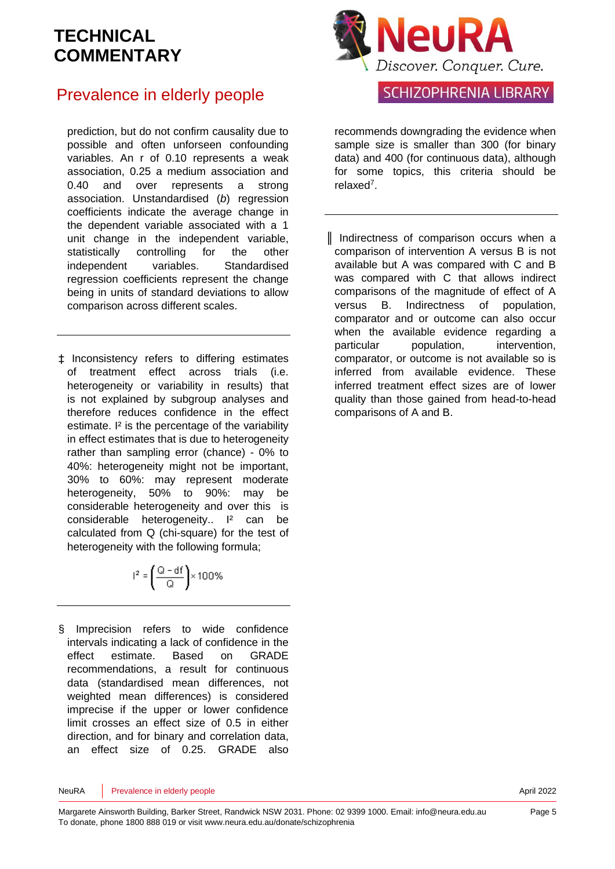### Prevalence in elderly people

prediction, but do not confirm causality due to possible and often unforseen confounding variables. An r of 0.10 represents a weak association, 0.25 a medium association and 0.40 and over represents a strong association. Unstandardised (*b*) regression coefficients indicate the average change in the dependent variable associated with a 1 unit change in the independent variable, statistically controlling for the other independent variables. Standardised regression coefficients represent the change being in units of standard deviations to allow comparison across different scales.

‡ Inconsistency refers to differing estimates of treatment effect across trials (i.e. heterogeneity or variability in results) that is not explained by subgroup analyses and therefore reduces confidence in the effect estimate. I² is the percentage of the variability in effect estimates that is due to heterogeneity rather than sampling error (chance) - 0% to 40%: heterogeneity might not be important, 30% to 60%: may represent moderate heterogeneity, 50% to 90%: may be considerable heterogeneity and over this is considerable heterogeneity.. I<sup>2</sup> can be calculated from Q (chi-square) for the test of heterogeneity with the following formula;

$$
I^2 = \left(\frac{Q - df}{Q}\right) \times 100\%
$$

§ Imprecision refers to wide confidence intervals indicating a lack of confidence in the effect estimate. Based on GRADE recommendations, a result for continuous data (standardised mean differences, not weighted mean differences) is considered imprecise if the upper or lower confidence limit crosses an effect size of 0.5 in either direction, and for binary and correlation data, an effect size of 0.25. GRADE also



### **SCHIZOPHRENIA LIBRARY**

recommends downgrading the evidence when sample size is smaller than 300 (for binary data) and 400 (for continuous data), although for some topics, this criteria should be relaxe[d](#page-5-6)<sup>7</sup> .

║ Indirectness of comparison occurs when a comparison of intervention A versus B is not available but A was compared with C and B was compared with C that allows indirect comparisons of the magnitude of effect of A versus B. Indirectness of population, comparator and or outcome can also occur when the available evidence regarding a particular population, intervention, comparator, or outcome is not available so is inferred from available evidence. These inferred treatment effect sizes are of lower quality than those gained from head-to-head comparisons of A and B.

NeuRA Prevalence in elderly people **April 2022** 

Page 5